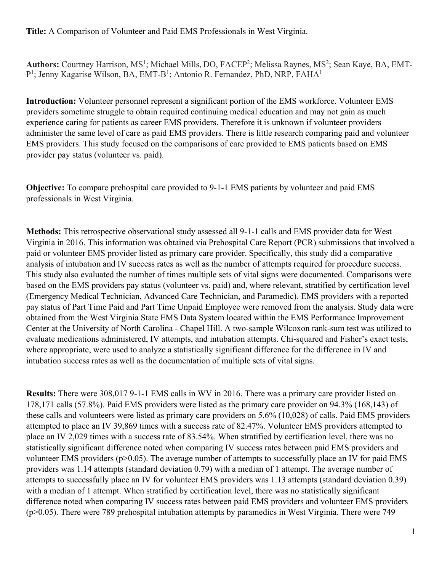**Title:** A Comparison of Volunteer and Paid EMS Professionals in West Virginia.

Authors: Courtney Harrison, MS<sup>1</sup>; Michael Mills, DO, FACEP<sup>2</sup>; Melissa Raynes, MS<sup>2</sup>; Sean Kaye, BA, EMT-P<sup>1</sup>; Jenny Kagarise Wilson, BA, EMT-B<sup>1</sup>; Antonio R. Fernandez, PhD, NRP, FAHA<sup>1</sup>

**Introduction:** Volunteer personnel represent a significant portion of the EMS workforce. Volunteer EMS providers sometime struggle to obtain required continuing medical education and may not gain as much experience caring for patients as career EMS providers. Therefore it is unknown if volunteer providers administer the same level of care as paid EMS providers. There is little research comparing paid and volunteer EMS providers. This study focused on the comparisons of care provided to EMS patients based on EMS provider pay status (volunteer vs. paid).

**Objective:** To compare prehospital care provided to 9-1-1 EMS patients by volunteer and paid EMS professionals in West Virginia.

**Methods:** This retrospective observational study assessed all 9-1-1 calls and EMS provider data for West Virginia in 2016. This information was obtained via Prehospital Care Report (PCR) submissions that involved a paid or volunteer EMS provider listed as primary care provider. Specifically, this study did a comparative analysis of intubation and IV success rates as well as the number of attempts required for procedure success. This study also evaluated the number of times multiple sets of vital signs were documented. Comparisons were based on the EMS providers pay status (volunteer vs. paid) and, where relevant, stratified by certification level (Emergency Medical Technician, Advanced Care Technician, and Paramedic). EMS providers with a reported pay status of Part Time Paid and Part Time Unpaid Employee were removed from the analysis. Study data were obtained from the West Virginia State EMS Data System located within the EMS Performance Improvement Center at the University of North Carolina - Chapel Hill. A two-sample Wilcoxon rank-sum test was utilized to evaluate medications administered, IV attempts, and intubation attempts. Chi-squared and Fisher's exact tests, where appropriate, were used to analyze a statistically significant difference for the difference in IV and intubation success rates as well as the documentation of multiple sets of vital signs.

**Results:** There were 308,017 9-1-1 EMS calls in WV in 2016. There was a primary care provider listed on 178,171 calls (57.8%). Paid EMS providers were listed as the primary care provider on 94.3% (168,143) of these calls and volunteers were listed as primary care providers on 5.6% (10,028) of calls. Paid EMS providers attempted to place an IV 39,869 times with a success rate of 82.47%. Volunteer EMS providers attempted to place an IV 2,029 times with a success rate of 83.54%. When stratified by certification level, there was no statistically significant difference noted when comparing IV success rates between paid EMS providers and volunteer EMS providers (p>0.05). The average number of attempts to successfully place an IV for paid EMS providers was 1.14 attempts (standard deviation 0.79) with a median of 1 attempt. The average number of attempts to successfully place an IV for volunteer EMS providers was 1.13 attempts (standard deviation 0.39) with a median of 1 attempt. When stratified by certification level, there was no statistically significant difference noted when comparing IV success rates between paid EMS providers and volunteer EMS providers (p>0.05). There were 789 prehospital intubation attempts by paramedics in West Virginia. There were 749